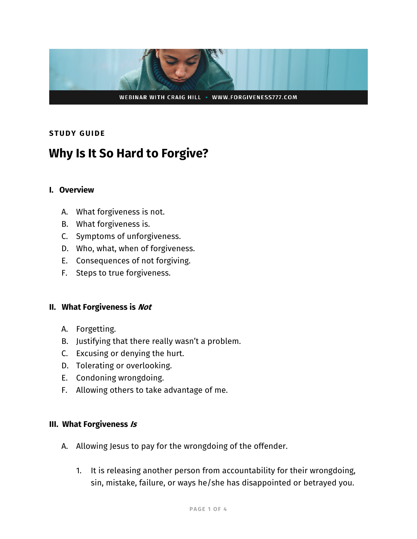

# **STUDY GUIDE**

# **Why Is It So Hard to Forgive?**

#### **I. Overview**

- A. What forgiveness is not.
- B. What forgiveness is.
- C. Symptoms of unforgiveness.
- D. Who, what, when of forgiveness.
- E. Consequences of not forgiving.
- F. Steps to true forgiveness.

#### **II. What Forgiveness is Not**

- A. Forgetting.
- B. Justifying that there really wasn't a problem.
- C. Excusing or denying the hurt.
- D. Tolerating or overlooking.
- E. Condoning wrongdoing.
- F. Allowing others to take advantage of me.

## **III. What Forgiveness Is**

- A. Allowing Jesus to pay for the wrongdoing of the offender.
	- 1. It is releasing another person from accountability for their wrongdoing, sin, mistake, failure, or ways he/she has disappointed or betrayed you.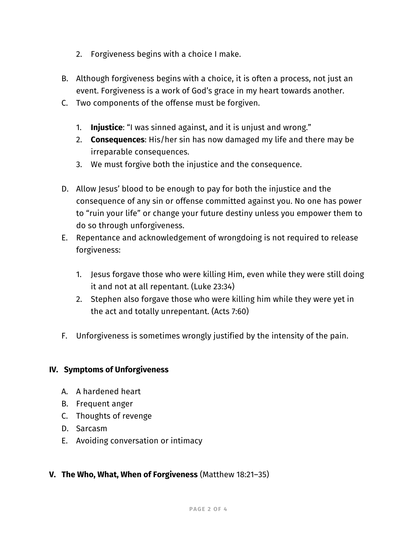- 2. Forgiveness begins with a choice I make.
- B. Although forgiveness begins with a choice, it is often a process, not just an event. Forgiveness is a work of God's grace in my heart towards another.
- C. Two components of the offense must be forgiven.
	- 1. **Injustice**: "I was sinned against, and it is unjust and wrong."
	- 2. **Consequences**: His/her sin has now damaged my life and there may be irreparable consequences.
	- 3. We must forgive both the injustice and the consequence.
- D. Allow Jesus' blood to be enough to pay for both the injustice and the consequence of any sin or offense committed against you. No one has power to "ruin your life" or change your future destiny unless you empower them to do so through unforgiveness.
- E. Repentance and acknowledgement of wrongdoing is not required to release forgiveness:
	- 1. Jesus forgave those who were killing Him, even while they were still doing it and not at all repentant. (Luke 23:34)
	- 2. Stephen also forgave those who were killing him while they were yet in the act and totally unrepentant. (Acts 7:60)
- F. Unforgiveness is sometimes wrongly justified by the intensity of the pain.

## **IV. Symptoms of Unforgiveness**

- A. A hardened heart
- B. Frequent anger
- C. Thoughts of revenge
- D. Sarcasm
- E. Avoiding conversation or intimacy

## **V. The Who, What, When of Forgiveness** (Matthew 18:21–35)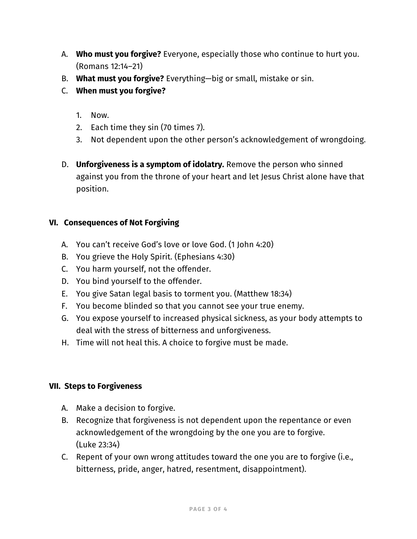- A. **Who must you forgive?** Everyone, especially those who continue to hurt you. (Romans 12:14–21)
- B. **What must you forgive?** Everything—big or small, mistake or sin.
- C. **When must you forgive?**
	- 1. Now.
	- 2. Each time they sin (70 times 7).
	- 3. Not dependent upon the other person's acknowledgement of wrongdoing.
- D. **Unforgiveness is a symptom of idolatry.** Remove the person who sinned against you from the throne of your heart and let Jesus Christ alone have that position.

# **VI. Consequences of Not Forgiving**

- A. You can't receive God's love or love God. (1 John 4:20)
- B. You grieve the Holy Spirit. (Ephesians 4:30)
- C. You harm yourself, not the offender.
- D. You bind yourself to the offender.
- E. You give Satan legal basis to torment you. (Matthew 18:34)
- F. You become blinded so that you cannot see your true enemy.
- G. You expose yourself to increased physical sickness, as your body attempts to deal with the stress of bitterness and unforgiveness.
- H. Time will not heal this. A choice to forgive must be made.

## **VII. Steps to Forgiveness**

- A. Make a decision to forgive.
- B. Recognize that forgiveness is not dependent upon the repentance or even acknowledgement of the wrongdoing by the one you are to forgive. (Luke 23:34)
- C. Repent of your own wrong attitudes toward the one you are to forgive (i.e., bitterness, pride, anger, hatred, resentment, disappointment).